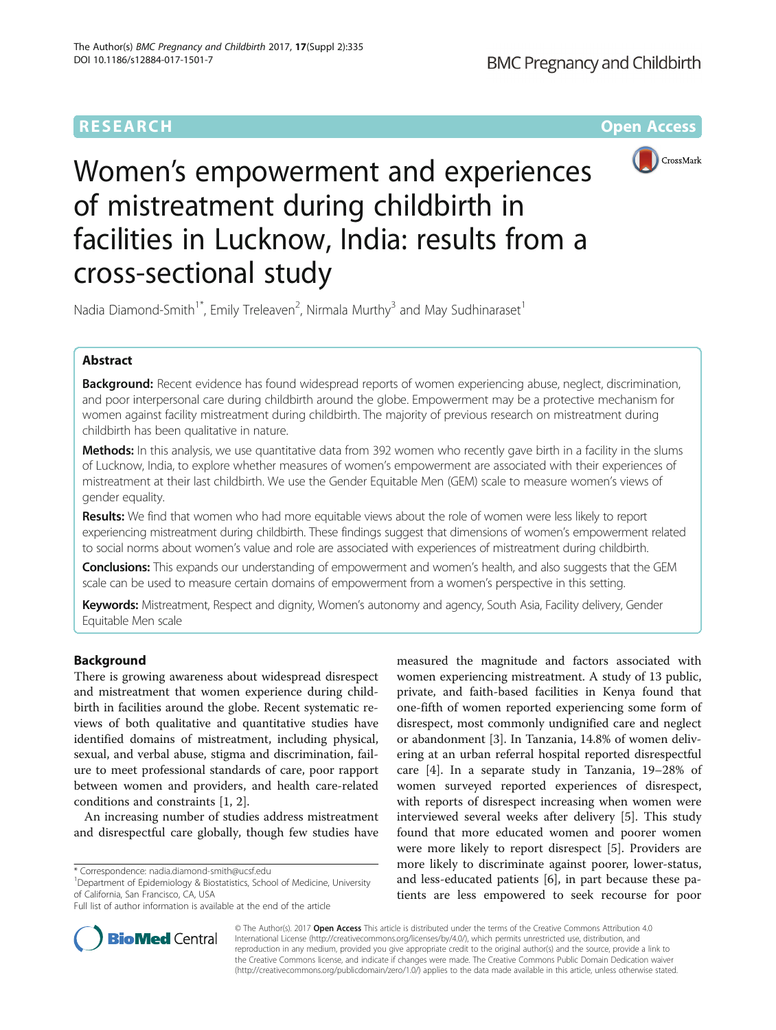# **RESEARCH CHE Open Access**



# Women's empowerment and experiences of mistreatment during childbirth in facilities in Lucknow, India: results from a cross-sectional study

Nadia Diamond-Smith<sup>1\*</sup>, Emily Treleaven<sup>2</sup>, Nirmala Murthy<sup>3</sup> and May Sudhinaraset<sup>1</sup>

# Abstract

Background: Recent evidence has found widespread reports of women experiencing abuse, neglect, discrimination, and poor interpersonal care during childbirth around the globe. Empowerment may be a protective mechanism for women against facility mistreatment during childbirth. The majority of previous research on mistreatment during childbirth has been qualitative in nature.

Methods: In this analysis, we use quantitative data from 392 women who recently gave birth in a facility in the slums of Lucknow, India, to explore whether measures of women's empowerment are associated with their experiences of mistreatment at their last childbirth. We use the Gender Equitable Men (GEM) scale to measure women's views of gender equality.

Results: We find that women who had more equitable views about the role of women were less likely to report experiencing mistreatment during childbirth. These findings suggest that dimensions of women's empowerment related to social norms about women's value and role are associated with experiences of mistreatment during childbirth.

Conclusions: This expands our understanding of empowerment and women's health, and also suggests that the GEM scale can be used to measure certain domains of empowerment from a women's perspective in this setting.

Keywords: Mistreatment, Respect and dignity, Women's autonomy and agency, South Asia, Facility delivery, Gender Equitable Men scale

# Background

There is growing awareness about widespread disrespect and mistreatment that women experience during childbirth in facilities around the globe. Recent systematic reviews of both qualitative and quantitative studies have identified domains of mistreatment, including physical, sexual, and verbal abuse, stigma and discrimination, failure to meet professional standards of care, poor rapport between women and providers, and health care-related conditions and constraints [\[1](#page-11-0), [2](#page-11-0)].

An increasing number of studies address mistreatment and disrespectful care globally, though few studies have

<sup>1</sup>Department of Epidemiology & Biostatistics, School of Medicine, University of California, San Francisco, CA, USA

measured the magnitude and factors associated with women experiencing mistreatment. A study of 13 public, private, and faith-based facilities in Kenya found that one-fifth of women reported experiencing some form of disrespect, most commonly undignified care and neglect or abandonment [[3\]](#page-11-0). In Tanzania, 14.8% of women delivering at an urban referral hospital reported disrespectful care [\[4\]](#page-11-0). In a separate study in Tanzania, 19–28% of women surveyed reported experiences of disrespect, with reports of disrespect increasing when women were interviewed several weeks after delivery [[5\]](#page-11-0). This study found that more educated women and poorer women were more likely to report disrespect [\[5\]](#page-11-0). Providers are more likely to discriminate against poorer, lower-status, and less-educated patients [\[6](#page-11-0)], in part because these patients are less empowered to seek recourse for poor



© The Author(s). 2017 Open Access This article is distributed under the terms of the Creative Commons Attribution 4.0 International License [\(http://creativecommons.org/licenses/by/4.0/](http://creativecommons.org/licenses/by/4.0/)), which permits unrestricted use, distribution, and reproduction in any medium, provided you give appropriate credit to the original author(s) and the source, provide a link to the Creative Commons license, and indicate if changes were made. The Creative Commons Public Domain Dedication waiver [\(http://creativecommons.org/publicdomain/zero/1.0/](http://creativecommons.org/publicdomain/zero/1.0/)) applies to the data made available in this article, unless otherwise stated.

<sup>\*</sup> Correspondence: [nadia.diamond-smith@ucsf.edu](mailto:nadia.diamond-smith@ucsf.edu) <sup>1</sup>

Full list of author information is available at the end of the article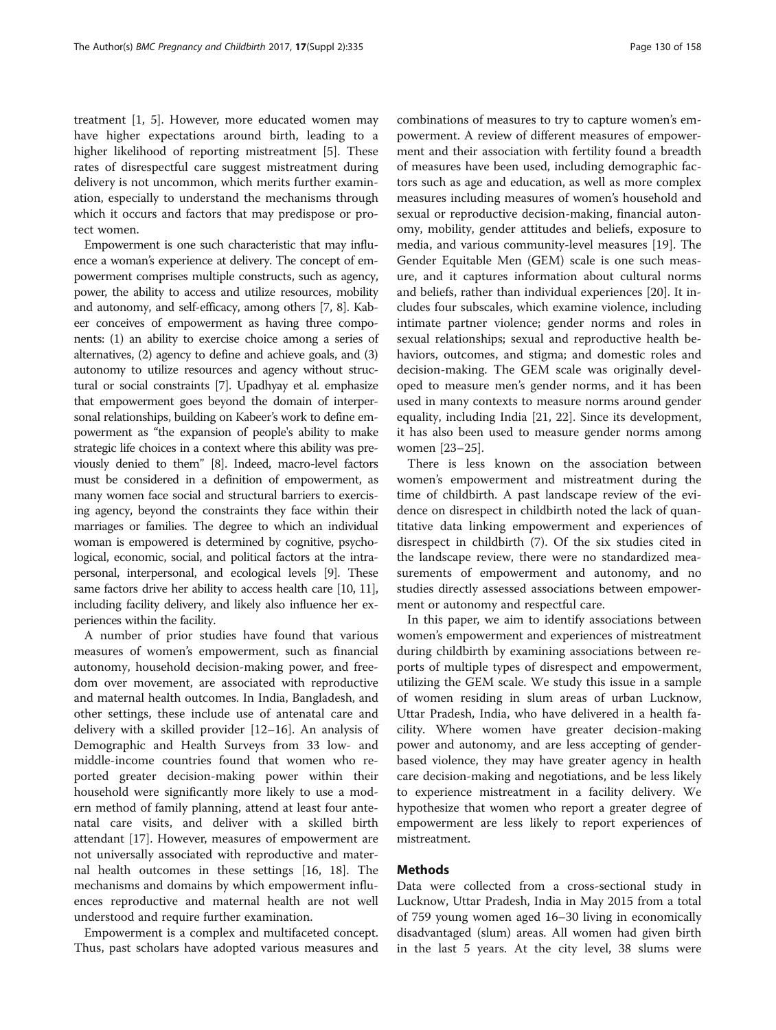treatment [\[1](#page-11-0), [5\]](#page-11-0). However, more educated women may have higher expectations around birth, leading to a higher likelihood of reporting mistreatment [\[5\]](#page-11-0). These rates of disrespectful care suggest mistreatment during delivery is not uncommon, which merits further examination, especially to understand the mechanisms through which it occurs and factors that may predispose or protect women.

Empowerment is one such characteristic that may influence a woman's experience at delivery. The concept of empowerment comprises multiple constructs, such as agency, power, the ability to access and utilize resources, mobility and autonomy, and self-efficacy, among others [\[7](#page-11-0), [8](#page-11-0)]. Kabeer conceives of empowerment as having three components: (1) an ability to exercise choice among a series of alternatives, (2) agency to define and achieve goals, and (3) autonomy to utilize resources and agency without structural or social constraints [\[7\]](#page-11-0). Upadhyay et al. emphasize that empowerment goes beyond the domain of interpersonal relationships, building on Kabeer's work to define empowerment as "the expansion of people's ability to make strategic life choices in a context where this ability was previously denied to them" [[8](#page-11-0)]. Indeed, macro-level factors must be considered in a definition of empowerment, as many women face social and structural barriers to exercising agency, beyond the constraints they face within their marriages or families. The degree to which an individual woman is empowered is determined by cognitive, psychological, economic, social, and political factors at the intrapersonal, interpersonal, and ecological levels [\[9](#page-11-0)]. These same factors drive her ability to access health care [\[10, 11](#page-11-0)], including facility delivery, and likely also influence her experiences within the facility.

A number of prior studies have found that various measures of women's empowerment, such as financial autonomy, household decision-making power, and freedom over movement, are associated with reproductive and maternal health outcomes. In India, Bangladesh, and other settings, these include use of antenatal care and delivery with a skilled provider [\[12](#page-11-0)–[16\]](#page-11-0). An analysis of Demographic and Health Surveys from 33 low- and middle-income countries found that women who reported greater decision-making power within their household were significantly more likely to use a modern method of family planning, attend at least four antenatal care visits, and deliver with a skilled birth attendant [\[17\]](#page-11-0). However, measures of empowerment are not universally associated with reproductive and maternal health outcomes in these settings [[16, 18\]](#page-11-0). The mechanisms and domains by which empowerment influences reproductive and maternal health are not well understood and require further examination.

Empowerment is a complex and multifaceted concept. Thus, past scholars have adopted various measures and combinations of measures to try to capture women's empowerment. A review of different measures of empowerment and their association with fertility found a breadth of measures have been used, including demographic factors such as age and education, as well as more complex measures including measures of women's household and sexual or reproductive decision-making, financial autonomy, mobility, gender attitudes and beliefs, exposure to media, and various community-level measures [[19\]](#page-11-0). The Gender Equitable Men (GEM) scale is one such measure, and it captures information about cultural norms and beliefs, rather than individual experiences [\[20](#page-11-0)]. It includes four subscales, which examine violence, including intimate partner violence; gender norms and roles in sexual relationships; sexual and reproductive health behaviors, outcomes, and stigma; and domestic roles and decision-making. The GEM scale was originally developed to measure men's gender norms, and it has been used in many contexts to measure norms around gender equality, including India [\[21](#page-11-0), [22\]](#page-11-0). Since its development, it has also been used to measure gender norms among women [[23](#page-11-0)–[25](#page-11-0)].

There is less known on the association between women's empowerment and mistreatment during the time of childbirth. A past landscape review of the evidence on disrespect in childbirth noted the lack of quantitative data linking empowerment and experiences of disrespect in childbirth (7). Of the six studies cited in the landscape review, there were no standardized measurements of empowerment and autonomy, and no studies directly assessed associations between empowerment or autonomy and respectful care.

In this paper, we aim to identify associations between women's empowerment and experiences of mistreatment during childbirth by examining associations between reports of multiple types of disrespect and empowerment, utilizing the GEM scale. We study this issue in a sample of women residing in slum areas of urban Lucknow, Uttar Pradesh, India, who have delivered in a health facility. Where women have greater decision-making power and autonomy, and are less accepting of genderbased violence, they may have greater agency in health care decision-making and negotiations, and be less likely to experience mistreatment in a facility delivery. We hypothesize that women who report a greater degree of empowerment are less likely to report experiences of mistreatment.

## Methods

Data were collected from a cross-sectional study in Lucknow, Uttar Pradesh, India in May 2015 from a total of 759 young women aged 16–30 living in economically disadvantaged (slum) areas. All women had given birth in the last 5 years. At the city level, 38 slums were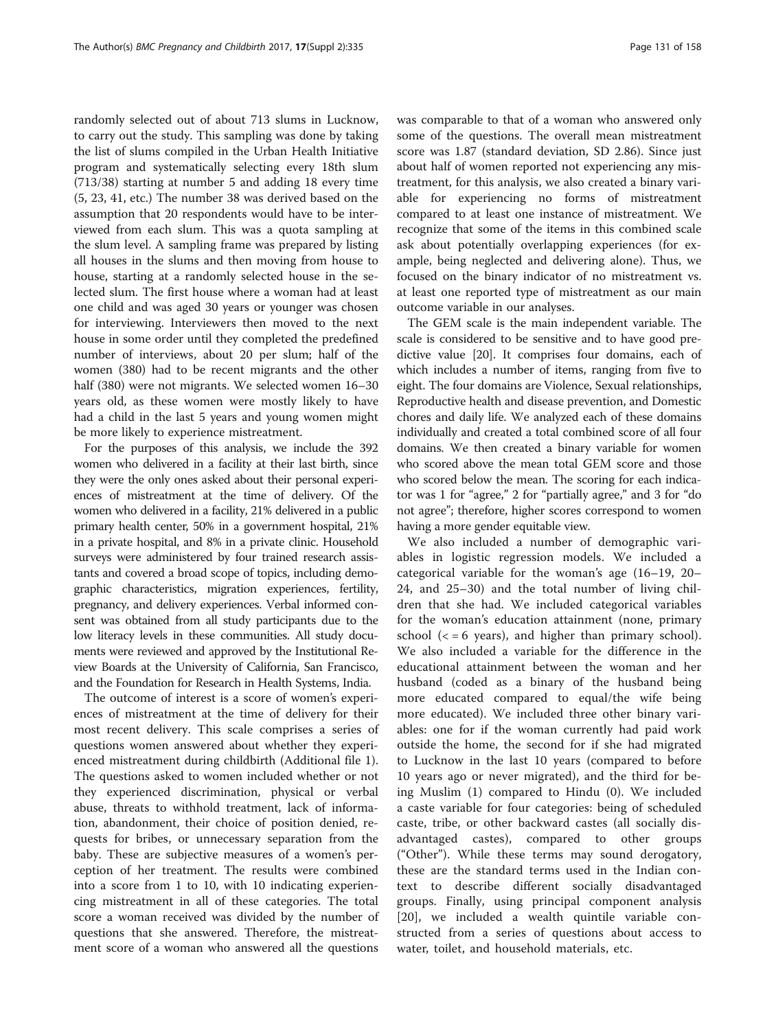randomly selected out of about 713 slums in Lucknow, to carry out the study. This sampling was done by taking the list of slums compiled in the Urban Health Initiative program and systematically selecting every 18th slum (713/38) starting at number 5 and adding 18 every time (5, 23, 41, etc.) The number 38 was derived based on the assumption that 20 respondents would have to be interviewed from each slum. This was a quota sampling at the slum level. A sampling frame was prepared by listing all houses in the slums and then moving from house to house, starting at a randomly selected house in the selected slum. The first house where a woman had at least one child and was aged 30 years or younger was chosen for interviewing. Interviewers then moved to the next house in some order until they completed the predefined number of interviews, about 20 per slum; half of the women (380) had to be recent migrants and the other half (380) were not migrants. We selected women  $16-30$ years old, as these women were mostly likely to have had a child in the last 5 years and young women might be more likely to experience mistreatment.

For the purposes of this analysis, we include the 392 women who delivered in a facility at their last birth, since they were the only ones asked about their personal experiences of mistreatment at the time of delivery. Of the women who delivered in a facility, 21% delivered in a public primary health center, 50% in a government hospital, 21% in a private hospital, and 8% in a private clinic. Household surveys were administered by four trained research assistants and covered a broad scope of topics, including demographic characteristics, migration experiences, fertility, pregnancy, and delivery experiences. Verbal informed consent was obtained from all study participants due to the low literacy levels in these communities. All study documents were reviewed and approved by the Institutional Review Boards at the University of California, San Francisco, and the Foundation for Research in Health Systems, India.

The outcome of interest is a score of women's experiences of mistreatment at the time of delivery for their most recent delivery. This scale comprises a series of questions women answered about whether they experienced mistreatment during childbirth (Additional file [1](#page-10-0)). The questions asked to women included whether or not they experienced discrimination, physical or verbal abuse, threats to withhold treatment, lack of information, abandonment, their choice of position denied, requests for bribes, or unnecessary separation from the baby. These are subjective measures of a women's perception of her treatment. The results were combined into a score from 1 to 10, with 10 indicating experiencing mistreatment in all of these categories. The total score a woman received was divided by the number of questions that she answered. Therefore, the mistreatment score of a woman who answered all the questions was comparable to that of a woman who answered only some of the questions. The overall mean mistreatment score was 1.87 (standard deviation, SD 2.86). Since just about half of women reported not experiencing any mistreatment, for this analysis, we also created a binary variable for experiencing no forms of mistreatment compared to at least one instance of mistreatment. We recognize that some of the items in this combined scale ask about potentially overlapping experiences (for example, being neglected and delivering alone). Thus, we focused on the binary indicator of no mistreatment vs. at least one reported type of mistreatment as our main outcome variable in our analyses.

The GEM scale is the main independent variable. The scale is considered to be sensitive and to have good predictive value [[20](#page-11-0)]. It comprises four domains, each of which includes a number of items, ranging from five to eight. The four domains are Violence, Sexual relationships, Reproductive health and disease prevention, and Domestic chores and daily life. We analyzed each of these domains individually and created a total combined score of all four domains. We then created a binary variable for women who scored above the mean total GEM score and those who scored below the mean. The scoring for each indicator was 1 for "agree," 2 for "partially agree," and 3 for "do not agree"; therefore, higher scores correspond to women having a more gender equitable view.

We also included a number of demographic variables in logistic regression models. We included a categorical variable for the woman's age (16–19, 20– 24, and 25–30) and the total number of living children that she had. We included categorical variables for the woman's education attainment (none, primary school  $( $= 6$  years), and higher than primary school).$ We also included a variable for the difference in the educational attainment between the woman and her husband (coded as a binary of the husband being more educated compared to equal/the wife being more educated). We included three other binary variables: one for if the woman currently had paid work outside the home, the second for if she had migrated to Lucknow in the last 10 years (compared to before 10 years ago or never migrated), and the third for being Muslim (1) compared to Hindu (0). We included a caste variable for four categories: being of scheduled caste, tribe, or other backward castes (all socially disadvantaged castes), compared to other groups ("Other"). While these terms may sound derogatory, these are the standard terms used in the Indian context to describe different socially disadvantaged groups. Finally, using principal component analysis [[20\]](#page-11-0), we included a wealth quintile variable constructed from a series of questions about access to water, toilet, and household materials, etc.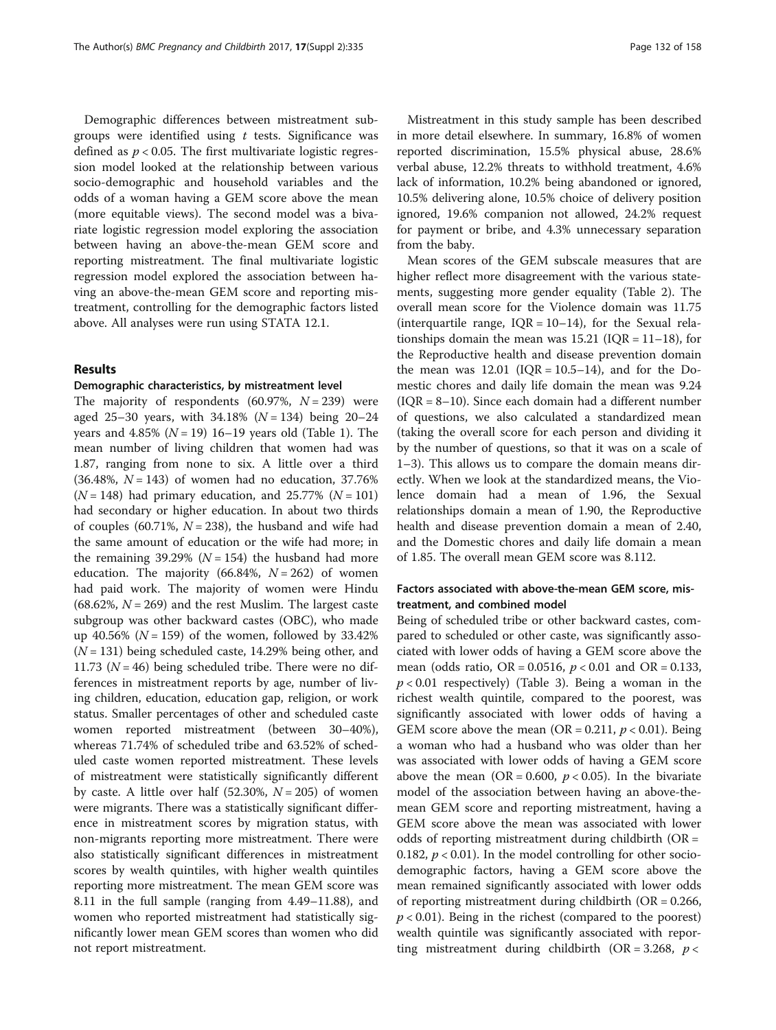Demographic differences between mistreatment subgroups were identified using  $t$  tests. Significance was defined as  $p < 0.05$ . The first multivariate logistic regression model looked at the relationship between various socio-demographic and household variables and the odds of a woman having a GEM score above the mean (more equitable views). The second model was a bivariate logistic regression model exploring the association between having an above-the-mean GEM score and reporting mistreatment. The final multivariate logistic regression model explored the association between having an above-the-mean GEM score and reporting mistreatment, controlling for the demographic factors listed above. All analyses were run using STATA 12.1.

## Results

## Demographic characteristics, by mistreatment level

The majority of respondents  $(60.97\%, N = 239)$  were aged 25–30 years, with  $34.18\%$  ( $N = 134$ ) being 20–24 years and 4.85% ( $N = 19$ ) 16–19 years old (Table [1\)](#page-4-0). The mean number of living children that women had was 1.87, ranging from none to six. A little over a third  $(36.48\%, N = 143)$  of women had no education, 37.76%  $(N = 148)$  had primary education, and 25.77%  $(N = 101)$ had secondary or higher education. In about two thirds of couples (60.71%,  $N = 238$ ), the husband and wife had the same amount of education or the wife had more; in the remaining 39.29% ( $N = 154$ ) the husband had more education. The majority (66.84%,  $N = 262$ ) of women had paid work. The majority of women were Hindu (68.62%,  $N = 269$ ) and the rest Muslim. The largest caste subgroup was other backward castes (OBC), who made up 40.56% ( $N = 159$ ) of the women, followed by 33.42%  $(N = 131)$  being scheduled caste, 14.29% being other, and 11.73 ( $N = 46$ ) being scheduled tribe. There were no differences in mistreatment reports by age, number of living children, education, education gap, religion, or work status. Smaller percentages of other and scheduled caste women reported mistreatment (between 30–40%), whereas 71.74% of scheduled tribe and 63.52% of scheduled caste women reported mistreatment. These levels of mistreatment were statistically significantly different by caste. A little over half  $(52.30\%, N = 205)$  of women were migrants. There was a statistically significant difference in mistreatment scores by migration status, with non-migrants reporting more mistreatment. There were also statistically significant differences in mistreatment scores by wealth quintiles, with higher wealth quintiles reporting more mistreatment. The mean GEM score was 8.11 in the full sample (ranging from 4.49–11.88), and women who reported mistreatment had statistically significantly lower mean GEM scores than women who did not report mistreatment.

Mistreatment in this study sample has been described in more detail elsewhere. In summary, 16.8% of women reported discrimination, 15.5% physical abuse, 28.6% verbal abuse, 12.2% threats to withhold treatment, 4.6% lack of information, 10.2% being abandoned or ignored, 10.5% delivering alone, 10.5% choice of delivery position ignored, 19.6% companion not allowed, 24.2% request for payment or bribe, and 4.3% unnecessary separation from the baby.

Mean scores of the GEM subscale measures that are higher reflect more disagreement with the various statements, suggesting more gender equality (Table [2\)](#page-5-0). The overall mean score for the Violence domain was 11.75 (interquartile range,  $IQR = 10-14$ ), for the Sexual relationships domain the mean was  $15.21$  (IQR =  $11-18$ ), for the Reproductive health and disease prevention domain the mean was  $12.01$  (IQR = 10.5–14), and for the Domestic chores and daily life domain the mean was 9.24  $(IOR = 8-10)$ . Since each domain had a different number of questions, we also calculated a standardized mean (taking the overall score for each person and dividing it by the number of questions, so that it was on a scale of 1–3). This allows us to compare the domain means directly. When we look at the standardized means, the Violence domain had a mean of 1.96, the Sexual relationships domain a mean of 1.90, the Reproductive health and disease prevention domain a mean of 2.40, and the Domestic chores and daily life domain a mean of 1.85. The overall mean GEM score was 8.112.

# Factors associated with above-the-mean GEM score, mistreatment, and combined model

Being of scheduled tribe or other backward castes, compared to scheduled or other caste, was significantly associated with lower odds of having a GEM score above the mean (odds ratio, OR = 0.0516,  $p < 0.01$  and OR = 0.133,  $p < 0.01$  respectively) (Table [3](#page-6-0)). Being a woman in the richest wealth quintile, compared to the poorest, was significantly associated with lower odds of having a GEM score above the mean (OR = 0.211,  $p < 0.01$ ). Being a woman who had a husband who was older than her was associated with lower odds of having a GEM score above the mean (OR = 0.600,  $p < 0.05$ ). In the bivariate model of the association between having an above-themean GEM score and reporting mistreatment, having a GEM score above the mean was associated with lower odds of reporting mistreatment during childbirth  $(OR =$ 0.182,  $p < 0.01$ ). In the model controlling for other sociodemographic factors, having a GEM score above the mean remained significantly associated with lower odds of reporting mistreatment during childbirth ( $OR = 0.266$ ,  $p < 0.01$ ). Being in the richest (compared to the poorest) wealth quintile was significantly associated with reporting mistreatment during childbirth (OR = 3.268,  $p <$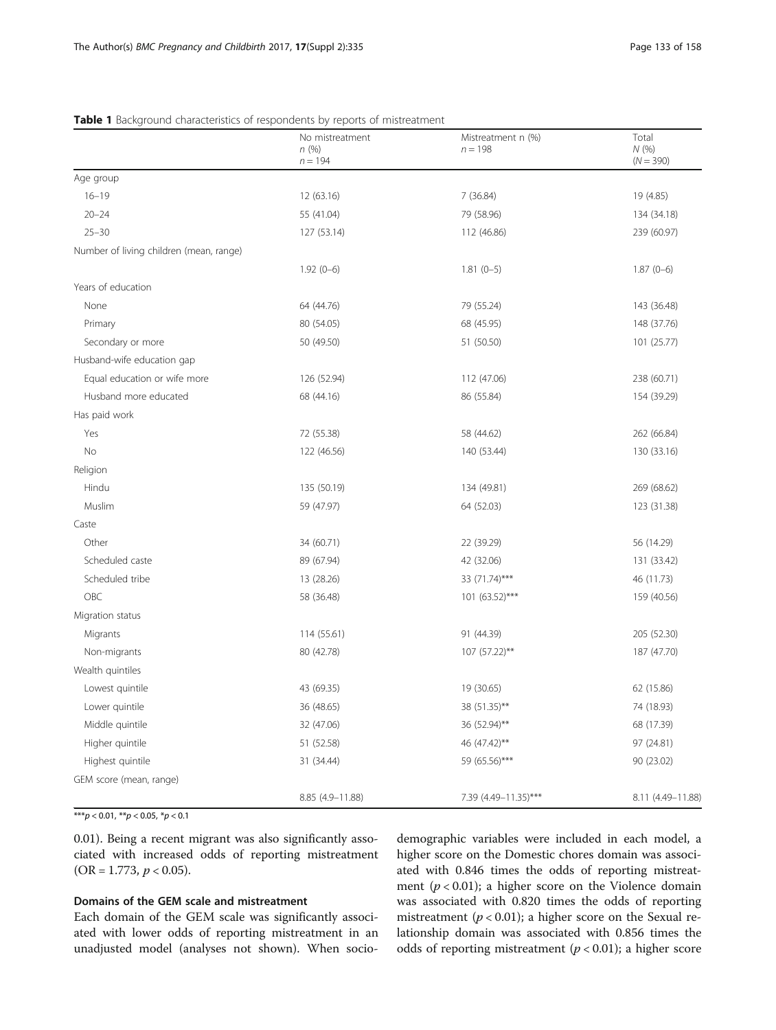|                                         | No mistreatment<br>n(%)<br>$n = 194$ | Mistreatment n (%)<br>$n = 198$ | Total<br>N(%)<br>$(N = 390)$ |
|-----------------------------------------|--------------------------------------|---------------------------------|------------------------------|
| Age group                               |                                      |                                 |                              |
| $16 - 19$                               | 12 (63.16)                           | 7 (36.84)                       | 19 (4.85)                    |
| $20 - 24$                               | 55 (41.04)                           | 79 (58.96)                      | 134 (34.18)                  |
| $25 - 30$                               | 127 (53.14)                          | 112 (46.86)                     | 239 (60.97)                  |
| Number of living children (mean, range) |                                      |                                 |                              |
|                                         | $1.92(0-6)$                          | $1.81(0-5)$                     | $1.87(0-6)$                  |
| Years of education                      |                                      |                                 |                              |
| None                                    | 64 (44.76)                           | 79 (55.24)                      | 143 (36.48)                  |
| Primary                                 | 80 (54.05)                           | 68 (45.95)                      | 148 (37.76)                  |
| Secondary or more                       | 50 (49.50)                           | 51 (50.50)                      | 101 (25.77)                  |
| Husband-wife education gap              |                                      |                                 |                              |
| Equal education or wife more            | 126 (52.94)                          | 112 (47.06)                     | 238 (60.71)                  |
| Husband more educated                   | 68 (44.16)                           | 86 (55.84)                      | 154 (39.29)                  |
| Has paid work                           |                                      |                                 |                              |
| Yes                                     | 72 (55.38)                           | 58 (44.62)                      | 262 (66.84)                  |
| No                                      | 122 (46.56)                          | 140 (53.44)                     | 130 (33.16)                  |
| Religion                                |                                      |                                 |                              |
| Hindu                                   | 135 (50.19)                          | 134 (49.81)                     | 269 (68.62)                  |
| Muslim                                  | 59 (47.97)                           | 64 (52.03)                      | 123 (31.38)                  |
| Caste                                   |                                      |                                 |                              |
| Other                                   | 34 (60.71)                           | 22 (39.29)                      | 56 (14.29)                   |
| Scheduled caste                         | 89 (67.94)                           | 42 (32.06)                      | 131 (33.42)                  |
| Scheduled tribe                         | 13 (28.26)                           | 33 (71.74)***                   | 46 (11.73)                   |
| OBC                                     | 58 (36.48)                           | 101 (63.52)***                  | 159 (40.56)                  |
| Migration status                        |                                      |                                 |                              |
| Migrants                                | 114 (55.61)                          | 91 (44.39)                      | 205 (52.30)                  |
| Non-migrants                            | 80 (42.78)                           | 107 (57.22)**                   | 187 (47.70)                  |
| Wealth quintiles                        |                                      |                                 |                              |
| Lowest quintile                         | 43 (69.35)                           | 19 (30.65)                      | 62 (15.86)                   |
| Lower quintile                          | 36 (48.65)                           | 38 (51.35)**                    | 74 (18.93)                   |
| Middle quintile                         | 32 (47.06)                           | 36 (52.94)**                    | 68 (17.39)                   |
| Higher quintile                         | 51 (52.58)                           | 46 (47.42)**                    | 97 (24.81)                   |
| Highest quintile                        | 31 (34.44)                           | 59 (65.56)***                   | 90 (23.02)                   |
| GEM score (mean, range)                 |                                      |                                 |                              |
|                                         | 8.85 (4.9-11.88)                     | 7.39 (4.49-11.35)***            | 8.11 (4.49-11.88)            |

#### <span id="page-4-0"></span>Table 1 Background characteristics of respondents by reports of mistreatment

\*\*\*p < 0.01, \*\*p < 0.05, \*p < 0.1

0.01). Being a recent migrant was also significantly associated with increased odds of reporting mistreatment  $(OR = 1.773, p < 0.05).$ 

## Domains of the GEM scale and mistreatment

Each domain of the GEM scale was significantly associated with lower odds of reporting mistreatment in an unadjusted model (analyses not shown). When sociodemographic variables were included in each model, a higher score on the Domestic chores domain was associated with 0.846 times the odds of reporting mistreatment ( $p < 0.01$ ); a higher score on the Violence domain was associated with 0.820 times the odds of reporting mistreatment ( $p < 0.01$ ); a higher score on the Sexual relationship domain was associated with 0.856 times the odds of reporting mistreatment  $(p < 0.01)$ ; a higher score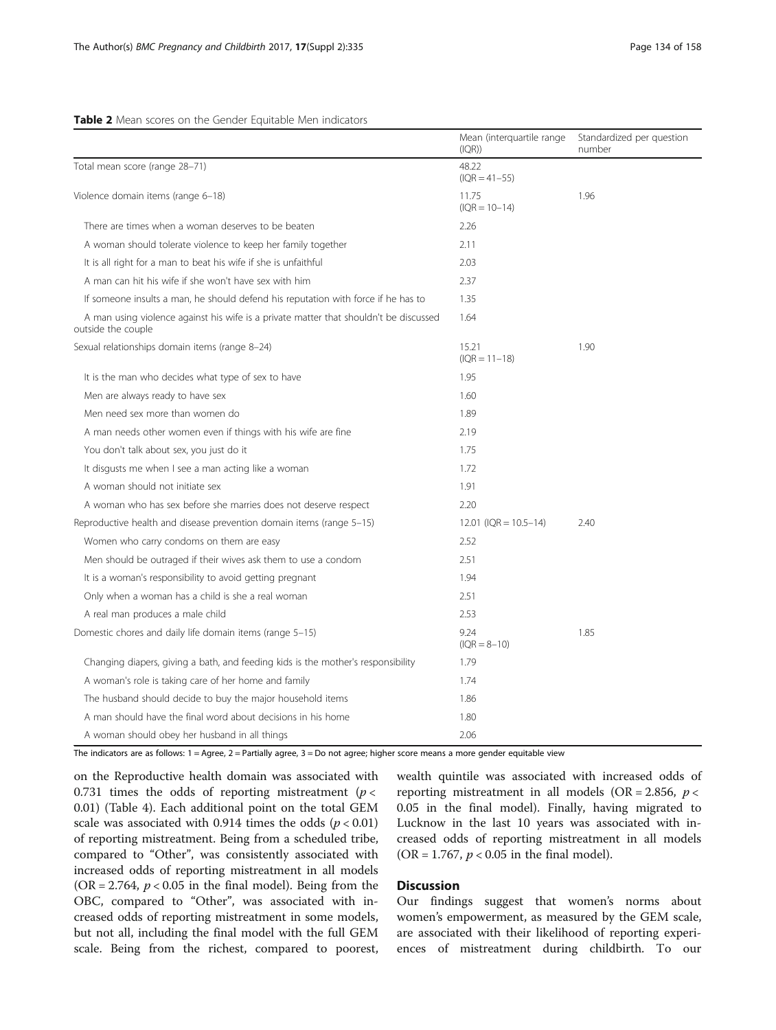#### <span id="page-5-0"></span>Table 2 Mean scores on the Gender Equitable Men indicators

|                                                                                                             | Mean (interquartile range<br>(IQR)) | Standardized per question<br>number |
|-------------------------------------------------------------------------------------------------------------|-------------------------------------|-------------------------------------|
| Total mean score (range 28-71)                                                                              | 48.22<br>$(IQR = 41 - 55)$          |                                     |
| Violence domain items (range 6-18)                                                                          | 11.75<br>$(IQR = 10-14)$            | 1.96                                |
| There are times when a woman deserves to be beaten                                                          | 2.26                                |                                     |
| A woman should tolerate violence to keep her family together                                                | 2.11                                |                                     |
| It is all right for a man to beat his wife if she is unfaithful                                             | 2.03                                |                                     |
| A man can hit his wife if she won't have sex with him                                                       | 2.37                                |                                     |
| If someone insults a man, he should defend his reputation with force if he has to                           | 1.35                                |                                     |
| A man using violence against his wife is a private matter that shouldn't be discussed<br>outside the couple | 1.64                                |                                     |
| Sexual relationships domain items (range 8-24)                                                              | 15.21<br>$(IQR = 11-18)$            | 1.90                                |
| It is the man who decides what type of sex to have                                                          | 1.95                                |                                     |
| Men are always ready to have sex                                                                            | 1.60                                |                                     |
| Men need sex more than women do                                                                             | 1.89                                |                                     |
| A man needs other women even if things with his wife are fine                                               | 2.19                                |                                     |
| You don't talk about sex, you just do it                                                                    | 1.75                                |                                     |
| It disgusts me when I see a man acting like a woman                                                         | 1.72                                |                                     |
| A woman should not initiate sex                                                                             | 1.91                                |                                     |
| A woman who has sex before she marries does not deserve respect                                             | 2.20                                |                                     |
| Reproductive health and disease prevention domain items (range 5-15)                                        | 12.01 ( $IQR = 10.5 - 14$ )         | 2.40                                |
| Women who carry condoms on them are easy                                                                    | 2.52                                |                                     |
| Men should be outraged if their wives ask them to use a condom                                              | 2.51                                |                                     |
| It is a woman's responsibility to avoid getting pregnant                                                    | 1.94                                |                                     |
| Only when a woman has a child is she a real woman                                                           | 2.51                                |                                     |
| A real man produces a male child                                                                            | 2.53                                |                                     |
| Domestic chores and daily life domain items (range 5-15)                                                    | 9.24<br>$(IQR = 8-10)$              | 1.85                                |
| Changing diapers, giving a bath, and feeding kids is the mother's responsibility                            | 1.79                                |                                     |
| A woman's role is taking care of her home and family                                                        | 1.74                                |                                     |
| The husband should decide to buy the major household items                                                  | 1.86                                |                                     |
| A man should have the final word about decisions in his home                                                | 1.80                                |                                     |
| A woman should obey her husband in all things                                                               | 2.06                                |                                     |

The indicators are as follows: 1 = Agree, 2 = Partially agree, 3 = Do not agree; higher score means a more gender equitable view

on the Reproductive health domain was associated with 0.731 times the odds of reporting mistreatment ( $p <$ 0.01) (Table [4](#page-7-0)). Each additional point on the total GEM scale was associated with 0.914 times the odds  $(p < 0.01)$ of reporting mistreatment. Being from a scheduled tribe, compared to "Other", was consistently associated with increased odds of reporting mistreatment in all models (OR = 2.764,  $p < 0.05$  in the final model). Being from the OBC, compared to "Other", was associated with increased odds of reporting mistreatment in some models, but not all, including the final model with the full GEM scale. Being from the richest, compared to poorest,

wealth quintile was associated with increased odds of reporting mistreatment in all models (OR = 2.856,  $p <$ 0.05 in the final model). Finally, having migrated to Lucknow in the last 10 years was associated with increased odds of reporting mistreatment in all models (OR = 1.767,  $p < 0.05$  in the final model).

# **Discussion**

Our findings suggest that women's norms about women's empowerment, as measured by the GEM scale, are associated with their likelihood of reporting experiences of mistreatment during childbirth. To our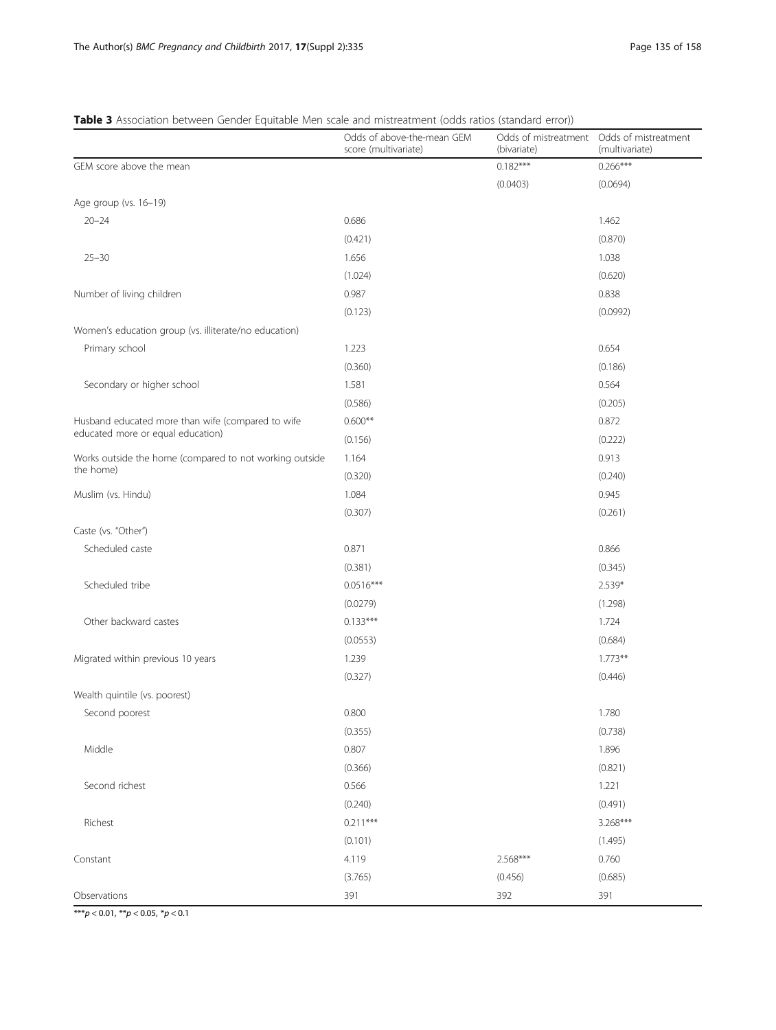# <span id="page-6-0"></span>Table 3 Association between Gender Equitable Men scale and mistreatment (odds ratios (standard error))

|                                                         | Odds of above-the-mean GEM<br>score (multivariate) | Odds of mistreatment<br>(bivariate) | Odds of mistreatment<br>(multivariate) |
|---------------------------------------------------------|----------------------------------------------------|-------------------------------------|----------------------------------------|
| GEM score above the mean                                |                                                    | $0.182***$                          | $0.266***$                             |
|                                                         |                                                    | (0.0403)                            | (0.0694)                               |
| Age group (vs. 16-19)                                   |                                                    |                                     |                                        |
| $20 - 24$                                               | 0.686                                              |                                     | 1.462                                  |
|                                                         | (0.421)                                            |                                     | (0.870)                                |
| $25 - 30$                                               | 1.656                                              |                                     | 1.038                                  |
|                                                         | (1.024)                                            |                                     | (0.620)                                |
| Number of living children                               | 0.987                                              |                                     | 0.838                                  |
|                                                         | (0.123)                                            |                                     | (0.0992)                               |
| Women's education group (vs. illiterate/no education)   |                                                    |                                     |                                        |
| Primary school                                          | 1.223                                              |                                     | 0.654                                  |
|                                                         | (0.360)                                            |                                     | (0.186)                                |
| Secondary or higher school                              | 1.581                                              |                                     | 0.564                                  |
|                                                         | (0.586)                                            |                                     | (0.205)                                |
| Husband educated more than wife (compared to wife       | $0.600**$                                          |                                     | 0.872                                  |
| educated more or equal education)                       | (0.156)                                            |                                     | (0.222)                                |
| Works outside the home (compared to not working outside | 1.164                                              |                                     | 0.913                                  |
| the home)                                               | (0.320)                                            |                                     | (0.240)                                |
| Muslim (vs. Hindu)                                      | 1.084                                              |                                     | 0.945                                  |
|                                                         | (0.307)                                            |                                     | (0.261)                                |
| Caste (vs. "Other")                                     |                                                    |                                     |                                        |
| Scheduled caste                                         | 0.871                                              |                                     | 0.866                                  |
|                                                         | (0.381)                                            |                                     | (0.345)                                |
| Scheduled tribe                                         | $0.0516***$                                        |                                     | 2.539*                                 |
|                                                         | (0.0279)                                           |                                     | (1.298)                                |
| Other backward castes                                   | $0.133***$                                         |                                     | 1.724                                  |
|                                                         | (0.0553)                                           |                                     | (0.684)                                |
| Migrated within previous 10 years                       | 1.239                                              |                                     | $1.773**$                              |
|                                                         | (0.327)                                            |                                     | (0.446)                                |
| Wealth quintile (vs. poorest)                           |                                                    |                                     |                                        |
| Second poorest                                          | 0.800                                              |                                     | 1.780                                  |
|                                                         | (0.355)                                            |                                     | (0.738)                                |
| Middle                                                  | 0.807                                              |                                     | 1.896                                  |
|                                                         | (0.366)                                            |                                     | (0.821)                                |
| Second richest                                          | 0.566                                              |                                     | 1.221                                  |
|                                                         | (0.240)                                            |                                     | (0.491)                                |
| Richest                                                 | $0.211***$                                         |                                     | 3.268***                               |
|                                                         | (0.101)                                            |                                     | (1.495)                                |
| Constant                                                | 4.119                                              | $2.568***$                          | 0.760                                  |
|                                                         | (3.765)                                            | (0.456)                             | (0.685)                                |
| Observations                                            | 391                                                | 392                                 | 391                                    |

 $^{***}p < 0.01,~^{**}p < 0.05,~^{*}p < 0.1$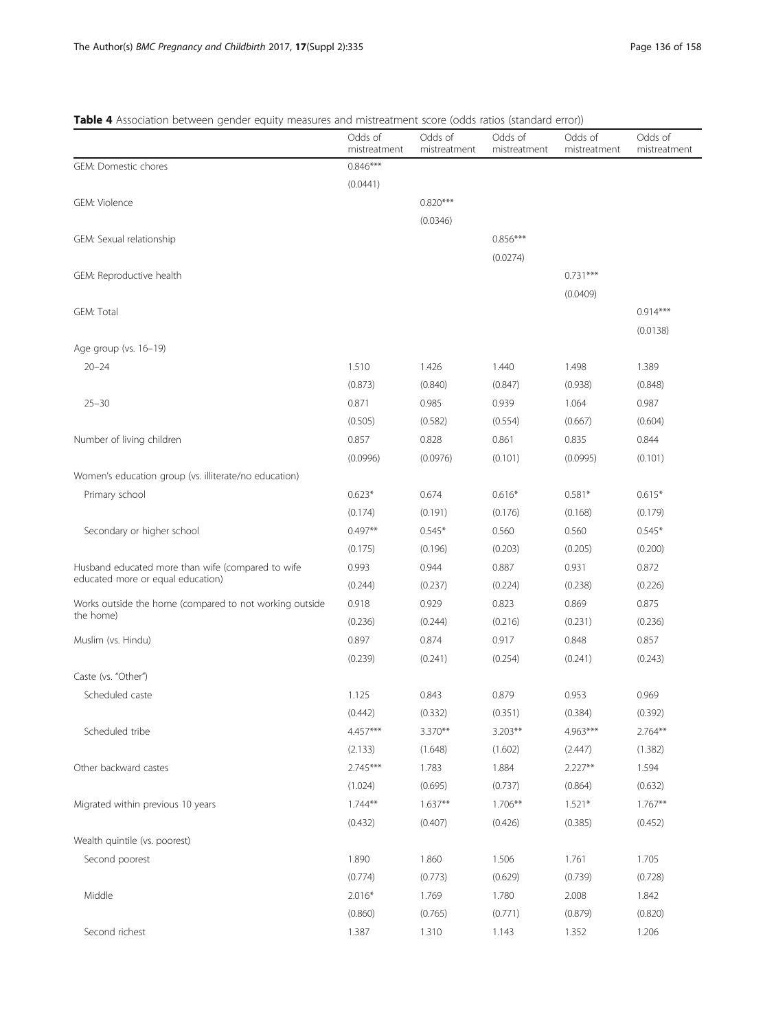# <span id="page-7-0"></span>Table 4 Association between gender equity measures and mistreatment score (odds ratios (standard error))

| and throughout between genuel equity incubates and imsticutivent score (buds ratios (standard enor)) | Odds of<br>mistreatment | Odds of<br>mistreatment | Odds of<br>mistreatment | Odds of<br>mistreatment | Odds of<br>mistreatment |
|------------------------------------------------------------------------------------------------------|-------------------------|-------------------------|-------------------------|-------------------------|-------------------------|
| GEM: Domestic chores                                                                                 | $0.846***$              |                         |                         |                         |                         |
|                                                                                                      | (0.0441)                |                         |                         |                         |                         |
| GEM: Violence                                                                                        |                         | $0.820***$              |                         |                         |                         |
|                                                                                                      |                         | (0.0346)                |                         |                         |                         |
| GEM: Sexual relationship                                                                             |                         |                         | $0.856***$              |                         |                         |
|                                                                                                      |                         |                         | (0.0274)                |                         |                         |
| GEM: Reproductive health                                                                             |                         |                         |                         | $0.731***$              |                         |
|                                                                                                      |                         |                         |                         | (0.0409)                |                         |
| GEM: Total                                                                                           |                         |                         |                         |                         | $0.914***$              |
|                                                                                                      |                         |                         |                         |                         | (0.0138)                |
| Age group (vs. 16-19)                                                                                |                         |                         |                         |                         |                         |
| $20 - 24$                                                                                            | 1.510                   | 1.426                   | 1.440                   | 1.498                   | 1.389                   |
|                                                                                                      | (0.873)                 | (0.840)                 | (0.847)                 | (0.938)                 | (0.848)                 |
| $25 - 30$                                                                                            | 0.871                   | 0.985                   | 0.939                   | 1.064                   | 0.987                   |
|                                                                                                      | (0.505)                 | (0.582)                 | (0.554)                 | (0.667)                 | (0.604)                 |
| Number of living children                                                                            | 0.857                   | 0.828                   | 0.861                   | 0.835                   | 0.844                   |
|                                                                                                      | (0.0996)                | (0.0976)                | (0.101)                 | (0.0995)                | (0.101)                 |
| Women's education group (vs. illiterate/no education)                                                |                         |                         |                         |                         |                         |
| Primary school                                                                                       | $0.623*$                | 0.674                   | $0.616*$                | $0.581*$                | $0.615*$                |
|                                                                                                      | (0.174)                 | (0.191)                 | (0.176)                 | (0.168)                 | (0.179)                 |
| Secondary or higher school                                                                           | $0.497**$               | $0.545*$                | 0.560                   | 0.560                   | $0.545*$                |
|                                                                                                      | (0.175)                 | (0.196)                 | (0.203)                 | (0.205)                 | (0.200)                 |
| Husband educated more than wife (compared to wife                                                    | 0.993                   | 0.944                   | 0.887                   | 0.931                   | 0.872                   |
| educated more or equal education)                                                                    | (0.244)                 | (0.237)                 | (0.224)                 | (0.238)                 | (0.226)                 |
| Works outside the home (compared to not working outside                                              | 0.918                   | 0.929                   | 0.823                   | 0.869                   | 0.875                   |
| the home)                                                                                            | (0.236)                 | (0.244)                 | (0.216)                 | (0.231)                 | (0.236)                 |
| Muslim (vs. Hindu)                                                                                   | 0.897                   | 0.874                   | 0.917                   | 0.848                   | 0.857                   |
|                                                                                                      | (0.239)                 | (0.241)                 | (0.254)                 | (0.241)                 | (0.243)                 |
| Caste (vs. "Other")                                                                                  |                         |                         |                         |                         |                         |
| Scheduled caste                                                                                      | 1.125                   | 0.843                   | 0.879                   | 0.953                   | 0.969                   |
|                                                                                                      | (0.442)                 | (0.332)                 | (0.351)                 | (0.384)                 | (0.392)                 |
| Scheduled tribe                                                                                      | $4.457***$              | 3.370**                 | $3.203**$               | 4.963***                | $2.764**$               |
|                                                                                                      | (2.133)                 | (1.648)                 | (1.602)                 | (2.447)                 | (1.382)                 |
| Other backward castes                                                                                | 2.745***                | 1.783                   | 1.884                   | $2.227**$               | 1.594                   |
|                                                                                                      | (1.024)                 | (0.695)                 | (0.737)                 | (0.864)                 | (0.632)                 |
| Migrated within previous 10 years                                                                    | $1.744**$               | $1.637**$               | $1.706***$              | $1.521*$                | $1.767**$               |
|                                                                                                      | (0.432)                 | (0.407)                 | (0.426)                 | (0.385)                 | (0.452)                 |
| Wealth quintile (vs. poorest)                                                                        |                         |                         |                         |                         |                         |
| Second poorest                                                                                       | 1.890                   | 1.860                   | 1.506                   | 1.761                   | 1.705                   |
|                                                                                                      | (0.774)                 | (0.773)                 | (0.629)                 | (0.739)                 | (0.728)                 |
| Middle                                                                                               | $2.016*$                | 1.769                   | 1.780                   | 2.008                   | 1.842                   |
|                                                                                                      | (0.860)                 | (0.765)                 | (0.771)                 | (0.879)                 | (0.820)                 |
| Second richest                                                                                       | 1.387                   | 1.310                   | 1.143                   | 1.352                   | 1.206                   |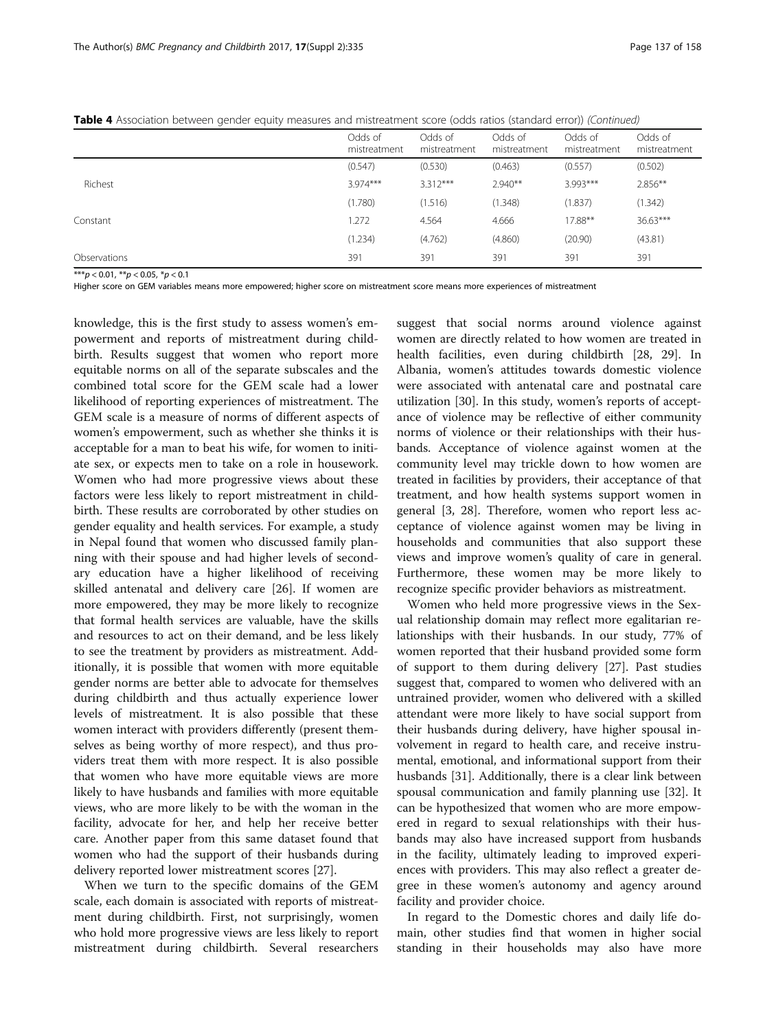| $\tilde{\phantom{a}}$<br>$\overline{\phantom{a}}$ |                         |                         |                         | .                       |                         |
|---------------------------------------------------|-------------------------|-------------------------|-------------------------|-------------------------|-------------------------|
|                                                   | Odds of<br>mistreatment | Odds of<br>mistreatment | Odds of<br>mistreatment | Odds of<br>mistreatment | Odds of<br>mistreatment |
|                                                   | (0.547)                 | (0.530)                 | (0.463)                 | (0.557)                 | (0.502)                 |
| Richest                                           | $3.974***$              | $3.312***$              | $2.940**$               | $3.993***$              | $2.856**$               |
|                                                   | (1.780)                 | (1.516)                 | (1.348)                 | (1.837)                 | (1.342)                 |
| Constant                                          | 1.272                   | 4.564                   | 4.666                   | 17.88**                 | $36.63***$              |
|                                                   | (1.234)                 | (4.762)                 | (4.860)                 | (20.90)                 | (43.81)                 |
| Observations                                      | 391                     | 391                     | 391                     | 391                     | 391                     |

Table 4 Association between gender equity measures and mistreatment score (odds ratios (standard error)) (Continued)

\*\*\*p < 0.01, \*\*p < 0.05, \*p < 0.1

Higher score on GEM variables means more empowered; higher score on mistreatment score means more experiences of mistreatment

knowledge, this is the first study to assess women's empowerment and reports of mistreatment during childbirth. Results suggest that women who report more equitable norms on all of the separate subscales and the combined total score for the GEM scale had a lower likelihood of reporting experiences of mistreatment. The GEM scale is a measure of norms of different aspects of women's empowerment, such as whether she thinks it is acceptable for a man to beat his wife, for women to initiate sex, or expects men to take on a role in housework. Women who had more progressive views about these factors were less likely to report mistreatment in childbirth. These results are corroborated by other studies on gender equality and health services. For example, a study in Nepal found that women who discussed family planning with their spouse and had higher levels of secondary education have a higher likelihood of receiving skilled antenatal and delivery care [[26\]](#page-11-0). If women are more empowered, they may be more likely to recognize that formal health services are valuable, have the skills and resources to act on their demand, and be less likely to see the treatment by providers as mistreatment. Additionally, it is possible that women with more equitable gender norms are better able to advocate for themselves during childbirth and thus actually experience lower levels of mistreatment. It is also possible that these women interact with providers differently (present themselves as being worthy of more respect), and thus providers treat them with more respect. It is also possible that women who have more equitable views are more likely to have husbands and families with more equitable views, who are more likely to be with the woman in the facility, advocate for her, and help her receive better care. Another paper from this same dataset found that women who had the support of their husbands during delivery reported lower mistreatment scores [\[27](#page-11-0)].

When we turn to the specific domains of the GEM scale, each domain is associated with reports of mistreatment during childbirth. First, not surprisingly, women who hold more progressive views are less likely to report mistreatment during childbirth. Several researchers suggest that social norms around violence against women are directly related to how women are treated in health facilities, even during childbirth [[28, 29\]](#page-11-0). In Albania, women's attitudes towards domestic violence were associated with antenatal care and postnatal care utilization [\[30](#page-11-0)]. In this study, women's reports of acceptance of violence may be reflective of either community norms of violence or their relationships with their husbands. Acceptance of violence against women at the community level may trickle down to how women are treated in facilities by providers, their acceptance of that treatment, and how health systems support women in general [\[3, 28\]](#page-11-0). Therefore, women who report less acceptance of violence against women may be living in households and communities that also support these views and improve women's quality of care in general. Furthermore, these women may be more likely to recognize specific provider behaviors as mistreatment.

Women who held more progressive views in the Sexual relationship domain may reflect more egalitarian relationships with their husbands. In our study, 77% of women reported that their husband provided some form of support to them during delivery [\[27](#page-11-0)]. Past studies suggest that, compared to women who delivered with an untrained provider, women who delivered with a skilled attendant were more likely to have social support from their husbands during delivery, have higher spousal involvement in regard to health care, and receive instrumental, emotional, and informational support from their husbands [\[31](#page-11-0)]. Additionally, there is a clear link between spousal communication and family planning use [\[32](#page-11-0)]. It can be hypothesized that women who are more empowered in regard to sexual relationships with their husbands may also have increased support from husbands in the facility, ultimately leading to improved experiences with providers. This may also reflect a greater degree in these women's autonomy and agency around facility and provider choice.

In regard to the Domestic chores and daily life domain, other studies find that women in higher social standing in their households may also have more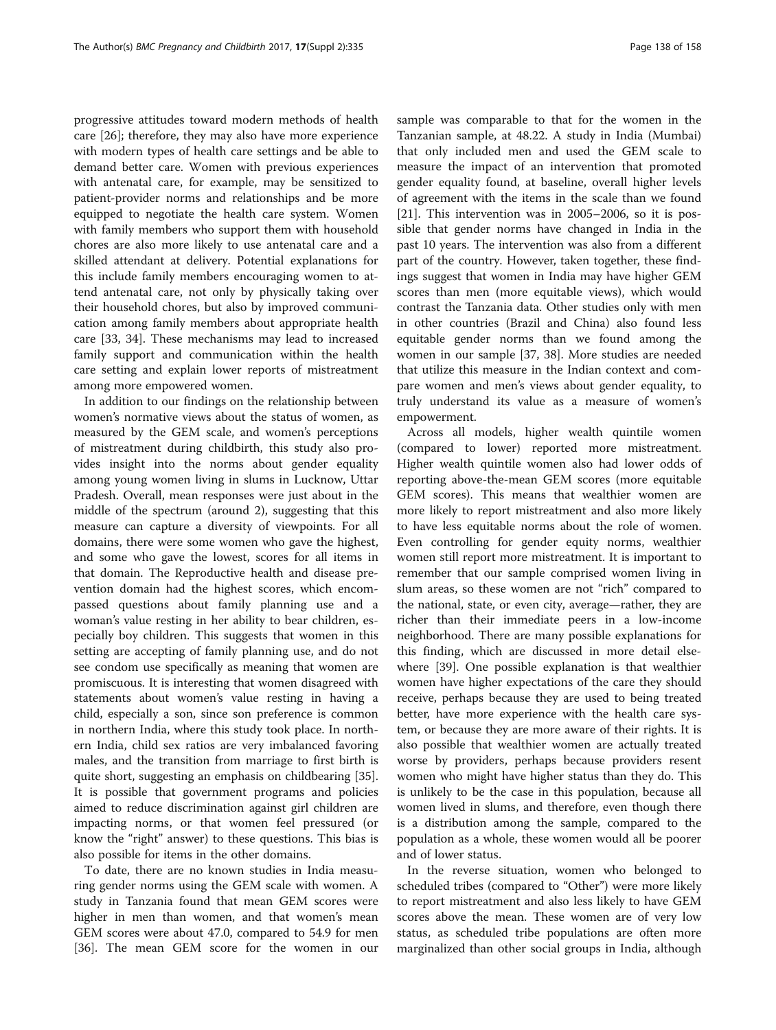progressive attitudes toward modern methods of health care [[26\]](#page-11-0); therefore, they may also have more experience with modern types of health care settings and be able to demand better care. Women with previous experiences with antenatal care, for example, may be sensitized to patient-provider norms and relationships and be more equipped to negotiate the health care system. Women with family members who support them with household chores are also more likely to use antenatal care and a skilled attendant at delivery. Potential explanations for this include family members encouraging women to attend antenatal care, not only by physically taking over their household chores, but also by improved communication among family members about appropriate health care [[33, 34](#page-11-0)]. These mechanisms may lead to increased family support and communication within the health care setting and explain lower reports of mistreatment among more empowered women.

In addition to our findings on the relationship between women's normative views about the status of women, as measured by the GEM scale, and women's perceptions of mistreatment during childbirth, this study also provides insight into the norms about gender equality among young women living in slums in Lucknow, Uttar Pradesh. Overall, mean responses were just about in the middle of the spectrum (around 2), suggesting that this measure can capture a diversity of viewpoints. For all domains, there were some women who gave the highest, and some who gave the lowest, scores for all items in that domain. The Reproductive health and disease prevention domain had the highest scores, which encompassed questions about family planning use and a woman's value resting in her ability to bear children, especially boy children. This suggests that women in this setting are accepting of family planning use, and do not see condom use specifically as meaning that women are promiscuous. It is interesting that women disagreed with statements about women's value resting in having a child, especially a son, since son preference is common in northern India, where this study took place. In northern India, child sex ratios are very imbalanced favoring males, and the transition from marriage to first birth is quite short, suggesting an emphasis on childbearing [\[35](#page-11-0)]. It is possible that government programs and policies aimed to reduce discrimination against girl children are impacting norms, or that women feel pressured (or know the "right" answer) to these questions. This bias is also possible for items in the other domains.

To date, there are no known studies in India measuring gender norms using the GEM scale with women. A study in Tanzania found that mean GEM scores were higher in men than women, and that women's mean GEM scores were about 47.0, compared to 54.9 for men [[36\]](#page-12-0). The mean GEM score for the women in our sample was comparable to that for the women in the Tanzanian sample, at 48.22. A study in India (Mumbai) that only included men and used the GEM scale to measure the impact of an intervention that promoted gender equality found, at baseline, overall higher levels of agreement with the items in the scale than we found [[21\]](#page-11-0). This intervention was in 2005–2006, so it is possible that gender norms have changed in India in the past 10 years. The intervention was also from a different part of the country. However, taken together, these findings suggest that women in India may have higher GEM scores than men (more equitable views), which would contrast the Tanzania data. Other studies only with men in other countries (Brazil and China) also found less equitable gender norms than we found among the women in our sample [\[37](#page-12-0), [38](#page-12-0)]. More studies are needed that utilize this measure in the Indian context and compare women and men's views about gender equality, to truly understand its value as a measure of women's empowerment.

Across all models, higher wealth quintile women (compared to lower) reported more mistreatment. Higher wealth quintile women also had lower odds of reporting above-the-mean GEM scores (more equitable GEM scores). This means that wealthier women are more likely to report mistreatment and also more likely to have less equitable norms about the role of women. Even controlling for gender equity norms, wealthier women still report more mistreatment. It is important to remember that our sample comprised women living in slum areas, so these women are not "rich" compared to the national, state, or even city, average—rather, they are richer than their immediate peers in a low-income neighborhood. There are many possible explanations for this finding, which are discussed in more detail elsewhere [\[39](#page-12-0)]. One possible explanation is that wealthier women have higher expectations of the care they should receive, perhaps because they are used to being treated better, have more experience with the health care system, or because they are more aware of their rights. It is also possible that wealthier women are actually treated worse by providers, perhaps because providers resent women who might have higher status than they do. This is unlikely to be the case in this population, because all women lived in slums, and therefore, even though there is a distribution among the sample, compared to the population as a whole, these women would all be poorer and of lower status.

In the reverse situation, women who belonged to scheduled tribes (compared to "Other") were more likely to report mistreatment and also less likely to have GEM scores above the mean. These women are of very low status, as scheduled tribe populations are often more marginalized than other social groups in India, although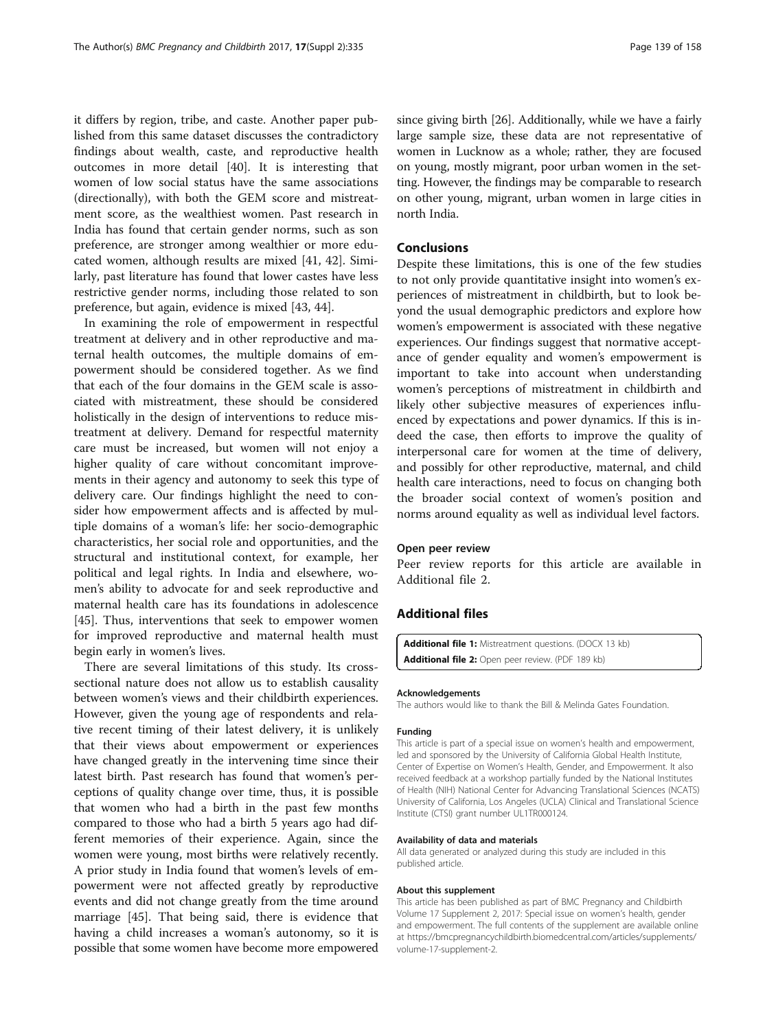<span id="page-10-0"></span>it differs by region, tribe, and caste. Another paper published from this same dataset discusses the contradictory findings about wealth, caste, and reproductive health outcomes in more detail [\[40\]](#page-12-0). It is interesting that women of low social status have the same associations (directionally), with both the GEM score and mistreatment score, as the wealthiest women. Past research in India has found that certain gender norms, such as son preference, are stronger among wealthier or more educated women, although results are mixed [[41](#page-12-0), [42\]](#page-12-0). Similarly, past literature has found that lower castes have less restrictive gender norms, including those related to son preference, but again, evidence is mixed [[43](#page-12-0), [44](#page-12-0)].

In examining the role of empowerment in respectful treatment at delivery and in other reproductive and maternal health outcomes, the multiple domains of empowerment should be considered together. As we find that each of the four domains in the GEM scale is associated with mistreatment, these should be considered holistically in the design of interventions to reduce mistreatment at delivery. Demand for respectful maternity care must be increased, but women will not enjoy a higher quality of care without concomitant improvements in their agency and autonomy to seek this type of delivery care. Our findings highlight the need to consider how empowerment affects and is affected by multiple domains of a woman's life: her socio-demographic characteristics, her social role and opportunities, and the structural and institutional context, for example, her political and legal rights. In India and elsewhere, women's ability to advocate for and seek reproductive and maternal health care has its foundations in adolescence [[45\]](#page-12-0). Thus, interventions that seek to empower women for improved reproductive and maternal health must begin early in women's lives.

There are several limitations of this study. Its crosssectional nature does not allow us to establish causality between women's views and their childbirth experiences. However, given the young age of respondents and relative recent timing of their latest delivery, it is unlikely that their views about empowerment or experiences have changed greatly in the intervening time since their latest birth. Past research has found that women's perceptions of quality change over time, thus, it is possible that women who had a birth in the past few months compared to those who had a birth 5 years ago had different memories of their experience. Again, since the women were young, most births were relatively recently. A prior study in India found that women's levels of empowerment were not affected greatly by reproductive events and did not change greatly from the time around marriage [\[45\]](#page-12-0). That being said, there is evidence that having a child increases a woman's autonomy, so it is possible that some women have become more empowered

since giving birth [\[26\]](#page-11-0). Additionally, while we have a fairly large sample size, these data are not representative of women in Lucknow as a whole; rather, they are focused on young, mostly migrant, poor urban women in the setting. However, the findings may be comparable to research on other young, migrant, urban women in large cities in north India.

# Conclusions

Despite these limitations, this is one of the few studies to not only provide quantitative insight into women's experiences of mistreatment in childbirth, but to look beyond the usual demographic predictors and explore how women's empowerment is associated with these negative experiences. Our findings suggest that normative acceptance of gender equality and women's empowerment is important to take into account when understanding women's perceptions of mistreatment in childbirth and likely other subjective measures of experiences influenced by expectations and power dynamics. If this is indeed the case, then efforts to improve the quality of interpersonal care for women at the time of delivery, and possibly for other reproductive, maternal, and child health care interactions, need to focus on changing both the broader social context of women's position and norms around equality as well as individual level factors.

#### Open peer review

Peer review reports for this article are available in Additional file 2.

### Additional files

[Additional file 1:](dx.doi.org/10.1186/s12884-017-1501-7) Mistreatment questions. (DOCX 13 kb) [Additional file 2:](dx.doi.org/10.1186/s12884-017-1501-7) Open peer review. (PDF 189 kb)

#### Acknowledgements

The authors would like to thank the Bill & Melinda Gates Foundation.

#### Funding

This article is part of a special issue on women's health and empowerment, led and sponsored by the University of California Global Health Institute, Center of Expertise on Women's Health, Gender, and Empowerment. It also received feedback at a workshop partially funded by the National Institutes of Health (NIH) National Center for Advancing Translational Sciences (NCATS) University of California, Los Angeles (UCLA) Clinical and Translational Science Institute (CTSI) grant number UL1TR000124.

#### Availability of data and materials

All data generated or analyzed during this study are included in this published article.

#### About this supplement

This article has been published as part of BMC Pregnancy and Childbirth Volume 17 Supplement 2, 2017: Special issue on women's health, gender and empowerment. The full contents of the supplement are available online at [https://bmcpregnancychildbirth.biomedcentral.com/articles/supplements/](https://bmcpregnancychildbirth.biomedcentral.com/articles/supplements/volume-17-supplement-2) [volume-17-supplement-2.](https://bmcpregnancychildbirth.biomedcentral.com/articles/supplements/volume-17-supplement-2)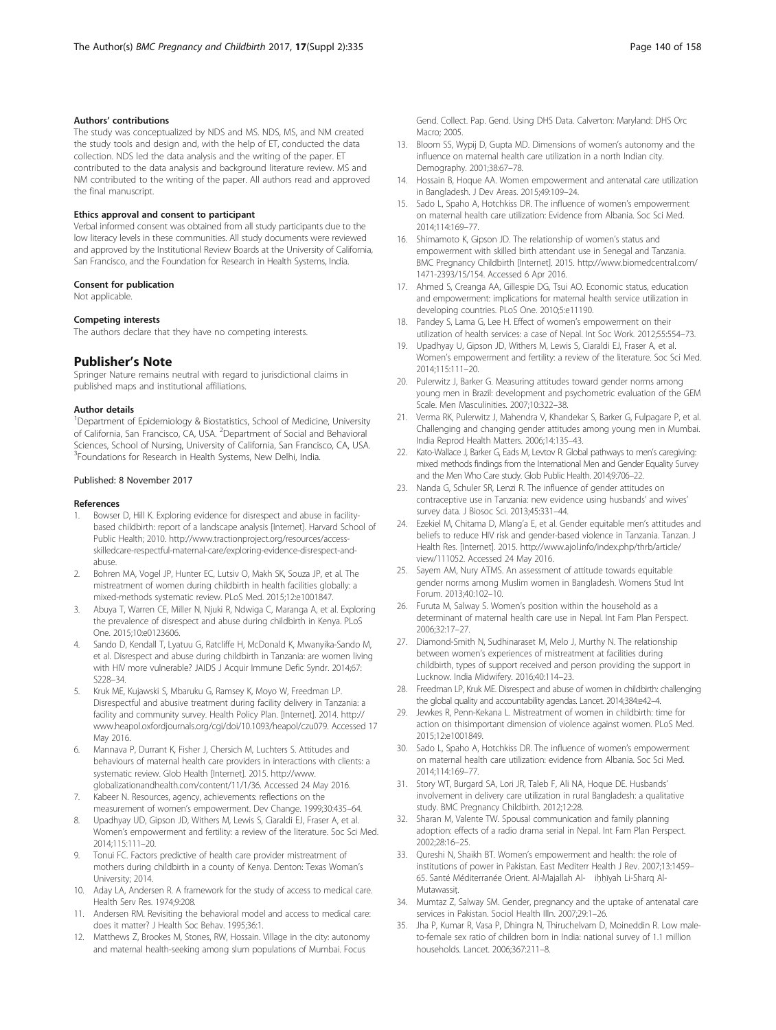#### <span id="page-11-0"></span>Authors' contributions

The study was conceptualized by NDS and MS. NDS, MS, and NM created the study tools and design and, with the help of ET, conducted the data collection. NDS led the data analysis and the writing of the paper. ET contributed to the data analysis and background literature review. MS and NM contributed to the writing of the paper. All authors read and approved the final manuscript.

#### Ethics approval and consent to participant

Verbal informed consent was obtained from all study participants due to the low literacy levels in these communities. All study documents were reviewed and approved by the Institutional Review Boards at the University of California, San Francisco, and the Foundation for Research in Health Systems, India.

#### Consent for publication

Not applicable.

#### Competing interests

The authors declare that they have no competing interests.

#### Publisher's Note

Springer Nature remains neutral with regard to jurisdictional claims in published maps and institutional affiliations.

#### Author details

<sup>1</sup>Department of Epidemiology & Biostatistics, School of Medicine, University of California, San Francisco, CA, USA. <sup>2</sup>Department of Social and Behavioral Sciences, School of Nursing, University of California, San Francisco, CA, USA. <sup>3</sup> Foundations for Research in Health Systems, New Delhi, India.

#### Published: 8 November 2017

#### References

- Bowser D, Hill K. Exploring evidence for disrespect and abuse in facilitybased childbirth: report of a landscape analysis [Internet]. Harvard School of Public Health; 2010. [http://www.tractionproject.org/resources/access](http://www.tractionproject.org/resources/access-skilledcare-respectful-maternal-care/exploring-evidence-disrespect-and-abuse)[skilledcare-respectful-maternal-care/exploring-evidence-disrespect-and](http://www.tractionproject.org/resources/access-skilledcare-respectful-maternal-care/exploring-evidence-disrespect-and-abuse)[abuse](http://www.tractionproject.org/resources/access-skilledcare-respectful-maternal-care/exploring-evidence-disrespect-and-abuse).
- 2. Bohren MA, Vogel JP, Hunter EC, Lutsiv O, Makh SK, Souza JP, et al. The mistreatment of women during childbirth in health facilities globally: a mixed-methods systematic review. PLoS Med. 2015;12:e1001847.
- 3. Abuya T, Warren CE, Miller N, Njuki R, Ndwiga C, Maranga A, et al. Exploring the prevalence of disrespect and abuse during childbirth in Kenya. PLoS One. 2015;10:e0123606.
- 4. Sando D, Kendall T, Lyatuu G, Ratcliffe H, McDonald K, Mwanyika-Sando M, et al. Disrespect and abuse during childbirth in Tanzania: are women living with HIV more vulnerable? JAIDS J Acquir Immune Defic Syndr. 2014;67: S228–34.
- 5. Kruk ME, Kujawski S, Mbaruku G, Ramsey K, Moyo W, Freedman LP. Disrespectful and abusive treatment during facility delivery in Tanzania: a facility and community survey. Health Policy Plan. [Internet]. 2014. [http://](http://www.heapol.oxfordjournals.org/cgi/doi/10.1093/heapol/czu079) [www.heapol.oxfordjournals.org/cgi/doi/10.1093/heapol/czu079](http://www.heapol.oxfordjournals.org/cgi/doi/10.1093/heapol/czu079). Accessed 17 May 2016.
- 6. Mannava P, Durrant K, Fisher J, Chersich M, Luchters S. Attitudes and behaviours of maternal health care providers in interactions with clients: a systematic review. Glob Health [Internet]. 2015. [http://www.](http://www.globalizationandhealth.com/content/11/1/36) [globalizationandhealth.com/content/11/1/36.](http://www.globalizationandhealth.com/content/11/1/36) Accessed 24 May 2016.
- 7. Kabeer N. Resources, agency, achievements: reflections on the measurement of women's empowerment. Dev Change. 1999;30:435–64.
- Upadhyay UD, Gipson JD, Withers M, Lewis S, Ciaraldi EJ, Fraser A, et al. Women's empowerment and fertility: a review of the literature. Soc Sci Med. 2014;115:111–20.
- 9. Tonui FC. Factors predictive of health care provider mistreatment of mothers during childbirth in a county of Kenya. Denton: Texas Woman's University; 2014.
- 10. Aday LA, Andersen R. A framework for the study of access to medical care. Health Serv Res. 1974;9:208.
- 11. Andersen RM. Revisiting the behavioral model and access to medical care: does it matter? J Health Soc Behav. 1995;36:1.
- 12. Matthews Z, Brookes M, Stones, RW, Hossain. Village in the city: autonomy and maternal health-seeking among slum populations of Mumbai. Focus

Gend. Collect. Pap. Gend. Using DHS Data. Calverton: Maryland: DHS Orc Macro; 2005.

- 13. Bloom SS, Wypij D, Gupta MD. Dimensions of women's autonomy and the influence on maternal health care utilization in a north Indian city. Demography. 2001;38:67–78.
- 14. Hossain B, Hoque AA. Women empowerment and antenatal care utilization in Bangladesh. J Dev Areas. 2015;49:109–24.
- 15. Sado L, Spaho A, Hotchkiss DR. The influence of women's empowerment on maternal health care utilization: Evidence from Albania. Soc Sci Med. 2014;114:169–77.
- 16. Shimamoto K, Gipson JD. The relationship of women's status and empowerment with skilled birth attendant use in Senegal and Tanzania. BMC Pregnancy Childbirth [Internet]. 2015. [http://www.biomedcentral.com/](http://www.biomedcentral.com/1471-2393/15/154) [1471-2393/15/154](http://www.biomedcentral.com/1471-2393/15/154). Accessed 6 Apr 2016.
- 17. Ahmed S, Creanga AA, Gillespie DG, Tsui AO. Economic status, education and empowerment: implications for maternal health service utilization in developing countries. PLoS One. 2010;5:e11190.
- 18. Pandey S, Lama G, Lee H. Effect of women's empowerment on their utilization of health services: a case of Nepal. Int Soc Work. 2012;55:554–73.
- 19. Upadhyay U, Gipson JD, Withers M, Lewis S, Ciaraldi EJ, Fraser A, et al. Women's empowerment and fertility: a review of the literature. Soc Sci Med. 2014;115:111–20.
- 20. Pulerwitz J, Barker G. Measuring attitudes toward gender norms among young men in Brazil: development and psychometric evaluation of the GEM Scale. Men Masculinities. 2007;10:322–38.
- 21. Verma RK, Pulerwitz J, Mahendra V, Khandekar S, Barker G, Fulpagare P, et al. Challenging and changing gender attitudes among young men in Mumbai. India Reprod Health Matters. 2006;14:135–43.
- 22. Kato-Wallace J, Barker G, Eads M, Levtov R. Global pathways to men's caregiving: mixed methods findings from the International Men and Gender Equality Survey and the Men Who Care study. Glob Public Health. 2014;9:706–22.
- 23. Nanda G, Schuler SR, Lenzi R. The influence of gender attitudes on contraceptive use in Tanzania: new evidence using husbands' and wives' survey data. J Biosoc Sci. 2013;45:331–44.
- 24. Ezekiel M, Chitama D, Mlang'a E, et al. Gender equitable men's attitudes and beliefs to reduce HIV risk and gender-based violence in Tanzania. Tanzan. J Health Res. [Internet]. 2015. [http://www.ajol.info/index.php/thrb/article/](http://www.ajol.info/index.php/thrb/article/view/111052) [view/111052.](http://www.ajol.info/index.php/thrb/article/view/111052) Accessed 24 May 2016.
- 25. Sayem AM, Nury ATMS. An assessment of attitude towards equitable gender norms among Muslim women in Bangladesh. Womens Stud Int Forum. 2013;40:102–10.
- 26. Furuta M, Salway S. Women's position within the household as a determinant of maternal health care use in Nepal. Int Fam Plan Perspect. 2006;32:17–27.
- 27. Diamond-Smith N, Sudhinaraset M, Melo J, Murthy N. The relationship between women's experiences of mistreatment at facilities during childbirth, types of support received and person providing the support in Lucknow. India Midwifery. 2016;40:114–23.
- 28. Freedman LP, Kruk ME. Disrespect and abuse of women in childbirth: challenging the global quality and accountability agendas. Lancet. 2014;384:e42–4.
- 29. Jewkes R, Penn-Kekana L. Mistreatment of women in childbirth: time for action on thisimportant dimension of violence against women. PLoS Med. 2015;12:e1001849.
- 30. Sado L, Spaho A, Hotchkiss DR. The influence of women's empowerment on maternal health care utilization: evidence from Albania. Soc Sci Med. 2014;114:169–77.
- 31. Story WT, Burgard SA, Lori JR, Taleb F, Ali NA, Hoque DE. Husbands' involvement in delivery care utilization in rural Bangladesh: a qualitative study. BMC Pregnancy Childbirth. 2012;12:28.
- 32. Sharan M, Valente TW. Spousal communication and family planning adoption: effects of a radio drama serial in Nepal. Int Fam Plan Perspect. 2002;28:16–25.
- 33. Qureshi N, Shaikh BT. Women's empowerment and health: the role of institutions of power in Pakistan. East Mediterr Health J Rev. 2007;13:1459– 65. Santé Méditerranée Orient. Al-Majallah Al- iḥḥīyah Li-Sharq Al-Mutawassiṭ.
- 34. Mumtaz Z, Salway SM. Gender, pregnancy and the uptake of antenatal care services in Pakistan. Sociol Health Illn. 2007;29:1–26.
- 35. Jha P, Kumar R, Vasa P, Dhingra N, Thiruchelvam D, Moineddin R. Low maleto-female sex ratio of children born in India: national survey of 1.1 million households. Lancet. 2006;367:211–8.